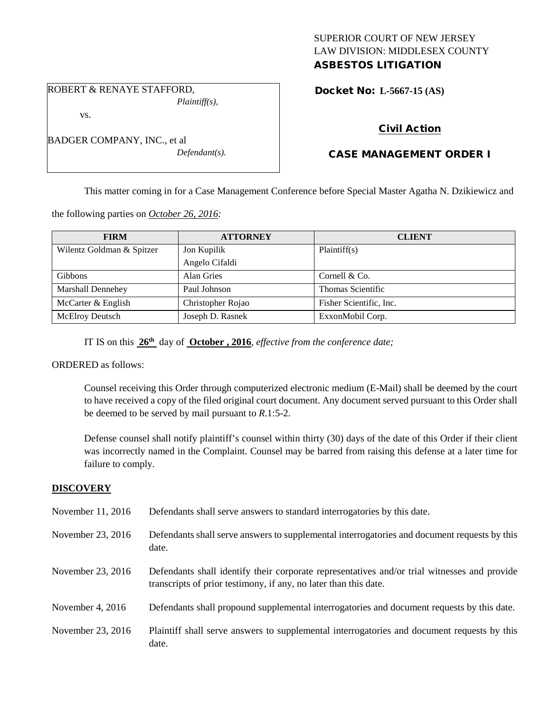### SUPERIOR COURT OF NEW JERSEY LAW DIVISION: MIDDLESEX COUNTY ASBESTOS LITIGATION

*Plaintiff(s),*

ROBERT & RENAYE STAFFORD,

vs.

| BADGER COMPANY, INC., et al |  |
|-----------------------------|--|
| $Defendant(s)$ .            |  |

Docket No: **L-5667-15 (AS)** 

# Civil Action

## CASE MANAGEMENT ORDER I

This matter coming in for a Case Management Conference before Special Master Agatha N. Dzikiewicz and

the following parties on *October 26, 2016:*

| <b>FIRM</b>               | <b>ATTORNEY</b>   | <b>CLIENT</b>           |
|---------------------------|-------------------|-------------------------|
| Wilentz Goldman & Spitzer | Jon Kupilik       | Plaintiff(s)            |
|                           | Angelo Cifaldi    |                         |
| Gibbons                   | <b>Alan Gries</b> | Cornell & Co.           |
| Marshall Dennehey         | Paul Johnson      | Thomas Scientific       |
| McCarter & English        | Christopher Rojao | Fisher Scientific, Inc. |
| McElroy Deutsch           | Joseph D. Rasnek  | ExxonMobil Corp.        |

IT IS on this **26th** day of **October , 2016**, *effective from the conference date;*

### ORDERED as follows:

Counsel receiving this Order through computerized electronic medium (E-Mail) shall be deemed by the court to have received a copy of the filed original court document. Any document served pursuant to this Order shall be deemed to be served by mail pursuant to *R*.1:5-2.

Defense counsel shall notify plaintiff's counsel within thirty (30) days of the date of this Order if their client was incorrectly named in the Complaint. Counsel may be barred from raising this defense at a later time for failure to comply.

### **DISCOVERY**

| November 11, 2016  | Defendants shall serve answers to standard interrogatories by this date.                                                                                         |
|--------------------|------------------------------------------------------------------------------------------------------------------------------------------------------------------|
| November 23, 2016  | Defendants shall serve answers to supplemental interrogatories and document requests by this<br>date.                                                            |
| November 23, 2016  | Defendants shall identify their corporate representatives and/or trial witnesses and provide<br>transcripts of prior testimony, if any, no later than this date. |
| November 4, $2016$ | Defendants shall propound supplemental interrogatories and document requests by this date.                                                                       |
| November 23, 2016  | Plaintiff shall serve answers to supplemental interrogatories and document requests by this<br>date.                                                             |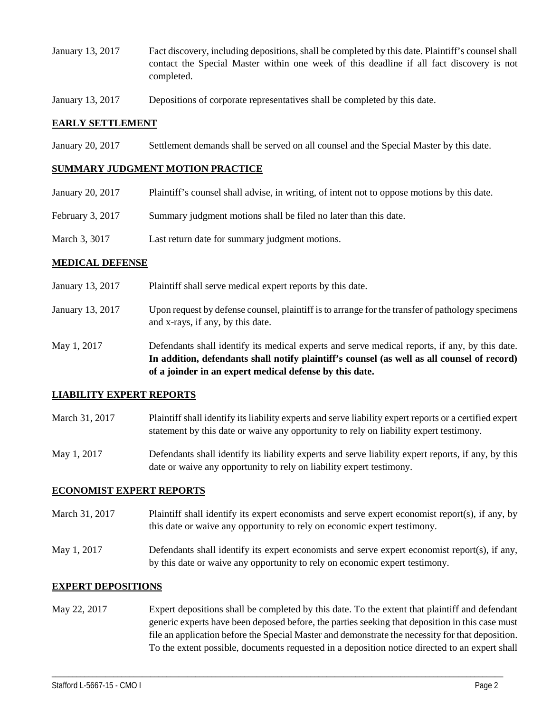- January 13, 2017 Fact discovery, including depositions, shall be completed by this date. Plaintiff's counsel shall contact the Special Master within one week of this deadline if all fact discovery is not completed.
- January 13, 2017 Depositions of corporate representatives shall be completed by this date.

### **EARLY SETTLEMENT**

January 20, 2017 Settlement demands shall be served on all counsel and the Special Master by this date.

#### **SUMMARY JUDGMENT MOTION PRACTICE**

| January 20, 2017 | Plaintiff's counsel shall advise, in writing, of intent not to oppose motions by this date. |
|------------------|---------------------------------------------------------------------------------------------|
| February 3, 2017 | Summary judgment motions shall be filed no later than this date.                            |
| March 3, 3017    | Last return date for summary judgment motions.                                              |

#### **MEDICAL DEFENSE**

- January 13, 2017 Plaintiff shall serve medical expert reports by this date.
- January 13, 2017 Upon request by defense counsel, plaintiff is to arrange for the transfer of pathology specimens and x-rays, if any, by this date.
- May 1, 2017 Defendants shall identify its medical experts and serve medical reports, if any, by this date. **In addition, defendants shall notify plaintiff's counsel (as well as all counsel of record) of a joinder in an expert medical defense by this date.**

#### **LIABILITY EXPERT REPORTS**

- March 31, 2017 Plaintiff shall identify its liability experts and serve liability expert reports or a certified expert statement by this date or waive any opportunity to rely on liability expert testimony.
- May 1, 2017 Defendants shall identify its liability experts and serve liability expert reports, if any, by this date or waive any opportunity to rely on liability expert testimony.

### **ECONOMIST EXPERT REPORTS**

- March 31, 2017 Plaintiff shall identify its expert economists and serve expert economist report(s), if any, by this date or waive any opportunity to rely on economic expert testimony.
- May 1, 2017 Defendants shall identify its expert economists and serve expert economist report(s), if any, by this date or waive any opportunity to rely on economic expert testimony.

### **EXPERT DEPOSITIONS**

May 22, 2017 Expert depositions shall be completed by this date. To the extent that plaintiff and defendant generic experts have been deposed before, the parties seeking that deposition in this case must file an application before the Special Master and demonstrate the necessity for that deposition. To the extent possible, documents requested in a deposition notice directed to an expert shall

\_\_\_\_\_\_\_\_\_\_\_\_\_\_\_\_\_\_\_\_\_\_\_\_\_\_\_\_\_\_\_\_\_\_\_\_\_\_\_\_\_\_\_\_\_\_\_\_\_\_\_\_\_\_\_\_\_\_\_\_\_\_\_\_\_\_\_\_\_\_\_\_\_\_\_\_\_\_\_\_\_\_\_\_\_\_\_\_\_\_\_\_\_\_\_\_\_\_\_\_\_\_\_\_\_\_\_\_\_\_